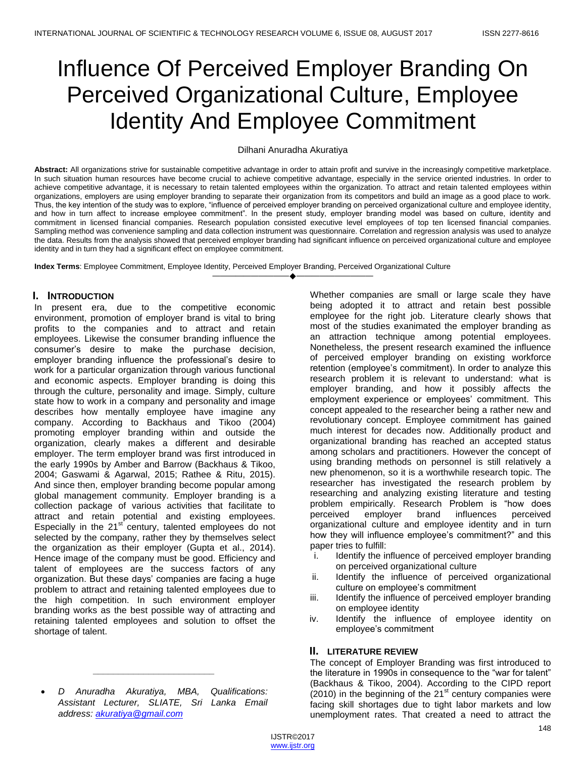# Influence Of Perceived Employer Branding On Perceived Organizational Culture, Employee Identity And Employee Commitment

#### Dilhani Anuradha Akuratiya

**Abstract:** All organizations strive for sustainable competitive advantage in order to attain profit and survive in the increasingly competitive marketplace. In such situation human resources have become crucial to achieve competitive advantage, especially in the service oriented industries. In order to achieve competitive advantage, it is necessary to retain talented employees within the organization. To attract and retain talented employees within organizations, employers are using employer branding to separate their organization from its competitors and build an image as a good place to work. Thus, the key intention of the study was to explore, "influence of perceived employer branding on perceived organizational culture and employee identity, and how in turn affect to increase employee commitment". In the present study, employer branding model was based on culture, identity and commitment in licensed financial companies. Research population consisted executive level employees of top ten licensed financial companies. Sampling method was convenience sampling and data collection instrument was questionnaire. Correlation and regression analysis was used to analyze the data. Results from the analysis showed that perceived employer branding had significant influence on perceived organizational culture and employee identity and in turn they had a significant effect on employee commitment.

————————————————————

**Index Terms**: Employee Commitment, Employee Identity, Perceived Employer Branding, Perceived Organizational Culture

## **I. INTRODUCTION**

In present era, due to the competitive economic environment, promotion of employer brand is vital to bring profits to the companies and to attract and retain employees. Likewise the consumer branding influence the consumer"s desire to make the purchase decision, employer branding influence the professional"s desire to work for a particular organization through various functional and economic aspects. Employer branding is doing this through the culture, personality and image. Simply, culture state how to work in a company and personality and image describes how mentally employee have imagine any company. According to Backhaus and Tikoo (2004) promoting employer branding within and outside the organization, clearly makes a different and desirable employer. The term employer brand was first introduced in the early 1990s by Amber and Barrow (Backhaus & Tikoo, 2004; Gaswami & Agarwal, 2015; Rathee & Ritu, 2015). And since then, employer branding become popular among global management community. Employer branding is a collection package of various activities that facilitate to attract and retain potential and existing employees. Especially in the  $21<sup>st</sup>$  century, talented employees do not selected by the company, rather they by themselves select the organization as their employer (Gupta et al., 2014). Hence image of the company must be good. Efficiency and talent of employees are the success factors of any organization. But these days" companies are facing a huge problem to attract and retaining talented employees due to the high competition. In such environment employer branding works as the best possible way of attracting and retaining talented employees and solution to offset the shortage of talent.

 *D Anuradha Akuratiya, MBA, Qualifications: Assistant Lecturer, SLIATE, Sri Lanka Email address: akuratiya@gmail.com*

*\_\_\_\_\_\_\_\_\_\_\_\_\_\_\_\_\_\_\_\_\_\_\_\_*

Whether companies are small or large scale they have being adopted it to attract and retain best possible employee for the right job. Literature clearly shows that most of the studies exanimated the employer branding as an attraction technique among potential employees. Nonetheless, the present research examined the influence of perceived employer branding on existing workforce retention (employee"s commitment). In order to analyze this research problem it is relevant to understand: what is employer branding, and how it possibly affects the employment experience or employees' commitment. This concept appealed to the researcher being a rather new and revolutionary concept. Employee commitment has gained much interest for decades now. Additionally product and organizational branding has reached an accepted status among scholars and practitioners. However the concept of using branding methods on personnel is still relatively a new phenomenon, so it is a worthwhile research topic. The researcher has investigated the research problem by researching and analyzing existing literature and testing problem empirically. Research Problem is "how does perceived employer brand influences perceived organizational culture and employee identity and in turn how they will influence employee's commitment?" and this paper tries to fulfill:

- i. Identify the influence of perceived employer branding on perceived organizational culture
- ii. Identify the influence of perceived organizational culture on employee"s commitment
- iii. Identify the influence of perceived employer branding on employee identity
- iv. Identify the influence of employee identity on employee"s commitment

## **II. LITERATURE REVIEW**

The concept of Employer Branding was first introduced to the literature in 1990s in consequence to the "war for talent" (Backhaus & Tikoo, 2004). According to the CIPD report  $(2010)$  in the beginning of the 21<sup>st</sup> century companies were facing skill shortages due to tight labor markets and low unemployment rates. That created a need to attract the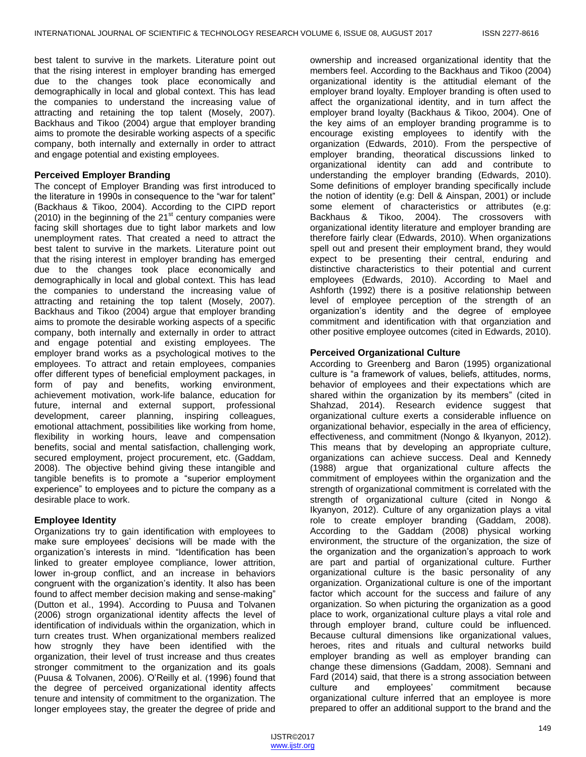best talent to survive in the markets. Literature point out that the rising interest in employer branding has emerged due to the changes took place economically and demographically in local and global context. This has lead the companies to understand the increasing value of attracting and retaining the top talent (Mosely, 2007). Backhaus and Tikoo (2004) argue that employer branding aims to promote the desirable working aspects of a specific company, both internally and externally in order to attract and engage potential and existing employees.

### **Perceived Employer Branding**

The concept of Employer Branding was first introduced to the literature in 1990s in consequence to the "war for talent" (Backhaus & Tikoo, 2004). According to the CIPD report (2010) in the beginning of the  $21<sup>st</sup>$  century companies were facing skill shortages due to tight labor markets and low unemployment rates. That created a need to attract the best talent to survive in the markets. Literature point out that the rising interest in employer branding has emerged due to the changes took place economically and demographically in local and global context. This has lead the companies to understand the increasing value of attracting and retaining the top talent (Mosely, 2007). Backhaus and Tikoo (2004) argue that employer branding aims to promote the desirable working aspects of a specific company, both internally and externally in order to attract and engage potential and existing employees. The employer brand works as a psychological motives to the employees. To attract and retain employees, companies offer different types of beneficial employment packages, in form of pay and benefits, working environment, achievement motivation, work-life balance, education for future, internal and external support, professional development, career planning, inspiring colleagues, emotional attachment, possibilities like working from home, flexibility in working hours, leave and compensation benefits, social and mental satisfaction, challenging work, secured employment, project procurement, etc. (Gaddam, 2008). The objective behind giving these intangible and tangible benefits is to promote a "superior employment experience" to employees and to picture the company as a desirable place to work.

## **Employee Identity**

Organizations try to gain identification with employees to make sure employees' decisions will be made with the organization"s interests in mind. "Identification has been linked to greater employee compliance, lower attrition, lower in-group conflict, and an increase in behaviors congruent with the organization"s identity. It also has been found to affect member decision making and sense-making" (Dutton et al., 1994). According to Puusa and Tolvanen (2006) strogn organizational identity affects the level of identification of individuals within the organization, which in turn creates trust. When organizational members realized how strognly they have been identified with the organization, their level of trust increase and thus creates stronger commitment to the organization and its goals (Puusa & Tolvanen, 2006). O"Reilly et al. (1996) found that the degree of perceived organizational identity affects tenure and intensity of commitment to the organization. The longer employees stay, the greater the degree of pride and

ownership and increased organizational identity that the members feel. According to the Backhaus and Tikoo (2004) organizational identity is the attitudial elemant of the employer brand loyalty. Employer branding is often used to affect the organizational identity, and in turn affect the employer brand loyalty (Backhaus & Tikoo, 2004). One of the key aims of an employer branding programme is to encourage existing employees to identify with the organization (Edwards, 2010). From the perspective of employer branding, theoratical discussions linked to organizational identity can add and contribute to understanding the employer branding (Edwards, 2010). Some definitions of employer branding specifically include the notion of identity (e.g: Dell & Ainspan, 2001) or include some element of characteristics or attributes (e.g: Backhaus & Tikoo, 2004). The crossovers with organizational identity literature and employer branding are therefore fairly clear (Edwards, 2010). When organizations spell out and present their employment brand, they would expect to be presenting their central, enduring and distinctive characteristics to their potential and current employees (Edwards, 2010). According to Mael and Ashforth (1992) there is a positive relationship between level of employee perception of the strength of an organization"s identity and the degree of employee commitment and identification with that organziation and other positive employee outcomes (cited in Edwards, 2010).

## **Perceived Organizational Culture**

According to Greenberg and Baron (1995) organizational culture is "a framework of values, beliefs, attitudes, norms, behavior of employees and their expectations which are shared within the organization by its members" (cited in Shahzad, 2014). Research evidence suggest that organizational culture exerts a considerable influence on organizational behavior, especially in the area of efficiency, effectiveness, and commitment (Nongo & Ikyanyon, 2012). This means that by developing an appropriate culture, organizations can achieve success. Deal and Kennedy (1988) argue that organizational culture affects the commitment of employees within the organization and the strength of organizational commitment is correlated with the strength of organizational culture (cited in Nongo & Ikyanyon, 2012). Culture of any organization plays a vital role to create employer branding (Gaddam, 2008). According to the Gaddam (2008) physical working environment, the structure of the organization, the size of the organization and the organization's approach to work are part and partial of organizational culture. Further organizational culture is the basic personality of any organization. Organizational culture is one of the important factor which account for the success and failure of any organization. So when picturing the organization as a good place to work, organizational culture plays a vital role and through employer brand, culture could be influenced. Because cultural dimensions like organizational values, heroes, rites and rituals and cultural networks build employer branding as well as employer branding can change these dimensions (Gaddam, 2008). Semnani and Fard (2014) said, that there is a strong association between culture and employees" commitment because organizational culture inferred that an employee is more prepared to offer an additional support to the brand and the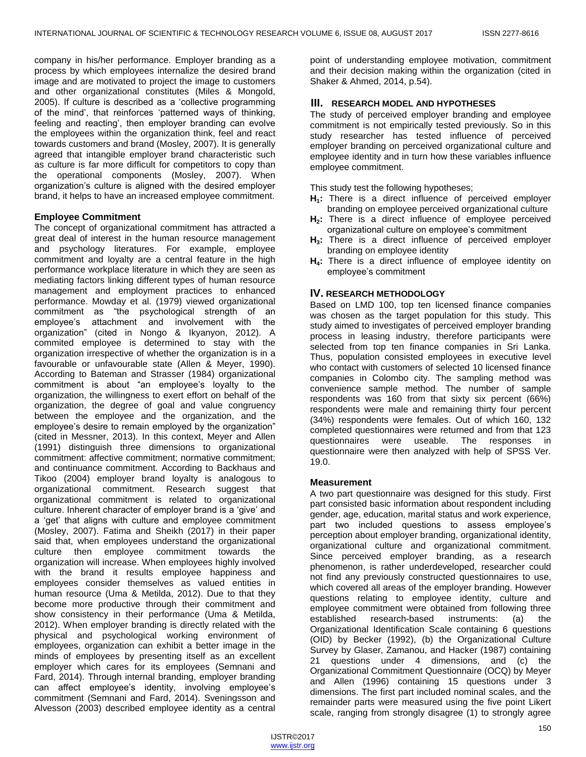company in his/her performance. Employer branding as a process by which employees internalize the desired brand image and are motivated to project the image to customers and other organizational constitutes (Miles & Mongold, 2005). If culture is described as a "collective programming of the mind", that reinforces "patterned ways of thinking, feeling and reacting', then employer branding can evolve the employees within the organization think, feel and react towards customers and brand (Mosley, 2007). It is generally agreed that intangible employer brand characteristic such as culture is far more difficult for competitors to copy than the operational components (Mosley, 2007). When organization"s culture is aligned with the desired employer brand, it helps to have an increased employee commitment.

### **Employee Commitment**

The concept of organizational commitment has attracted a great deal of interest in the human resource management and psychology literatures. For example, employee commitment and loyalty are a central feature in the high performance workplace literature in which they are seen as mediating factors linking different types of human resource management and employment practices to enhanced performance. Mowday et al. (1979) viewed organizational commitment as "the psychological strength of an employee"s attachment and involvement with the organization" (cited in Nongo & Ikyanyon, 2012). A commited employee is determined to stay with the organization irrespective of whether the organization is in a favourable or unfavourable state (Allen & Meyer, 1990). According to Bateman and Strasser (1984) organizational commitment is about "an employee"s loyalty to the organization, the willingness to exert effort on behalf of the organization, the degree of goal and value congruency between the employee and the organization, and the employee's desire to remain employed by the organization" (cited in Messner, 2013). In this context, Meyer and Allen (1991) distinguish three dimensions to organizational commitment: affective commitment; normative commitment; and continuance commitment. According to Backhaus and Tikoo (2004) employer brand loyalty is analogous to organizational commitment. Research suggest that organizational commitment is related to organizational culture. Inherent character of employer brand is a "give" and a "get" that aligns with culture and employee commitment (Mosley, 2007). Fatima and Sheikh (2017) in their paper said that, when employees understand the organizational culture then employee commitment towards the organization will increase. When employees highly involved with the brand it results employee happiness and employees consider themselves as valued entities in human resource (Uma & Metilda, 2012). Due to that they become more productive through their commitment and show consistency in their performance (Uma & Metilda, 2012). When employer branding is directly related with the physical and psychological working environment of employees, organization can exhibit a better image in the minds of employees by presenting itself as an excellent employer which cares for its employees (Semnani and Fard, 2014). Through internal branding, employer branding can affect employee's identity, involving employee's commitment (Semnani and Fard, 2014). Sveningsson and Alvesson (2003) described employee identity as a central

point of understanding employee motivation, commitment and their decision making within the organization (cited in Shaker & Ahmed, 2014, p.54).

## **III. RESEARCH MODEL AND HYPOTHESES**

The study of perceived employer branding and employee commitment is not empirically tested previously. So in this study researcher has tested influence of perceived employer branding on perceived organizational culture and employee identity and in turn how these variables influence employee commitment.

This study test the following hypotheses;

- **H1:** There is a direct influence of perceived employer branding on employee perceived organizational culture
- **H2:** There is a direct influence of employee perceived organizational culture on employee"s commitment
- **H3:** There is a direct influence of perceived employer branding on employee identity
- **H4:** There is a direct influence of employee identity on employee"s commitment

## **IV. RESEARCH METHODOLOGY**

Based on LMD 100, top ten licensed finance companies was chosen as the target population for this study. This study aimed to investigates of perceived employer branding process in leasing industry, therefore participants were selected from top ten finance companies in Sri Lanka. Thus, population consisted employees in executive level who contact with customers of selected 10 licensed finance companies in Colombo city. The sampling method was convenience sample method. The number of sample respondents was 160 from that sixty six percent (66%) respondents were male and remaining thirty four percent (34%) respondents were females. Out of which 160, 132 completed questionnaires were returned and from that 123 questionnaires were useable. The responses in questionnaire were then analyzed with help of SPSS Ver. 19.0.

### **Measurement**

A two part questionnaire was designed for this study. First part consisted basic information about respondent including gender, age, education, marital status and work experience, part two included questions to assess employee's perception about employer branding, organizational identity, organizational culture and organizational commitment. Since perceived employer branding, as a research phenomenon, is rather underdeveloped, researcher could not find any previously constructed questionnaires to use, which covered all areas of the employer branding. However questions relating to employee identity, culture and employee commitment were obtained from following three established research-based instruments: (a) the Organizational Identification Scale containing 6 questions (OID) by Becker (1992), (b) the Organizational Culture Survey by Glaser, Zamanou, and Hacker (1987) containing 21 questions under 4 dimensions, and (c) the Organizational Commitment Questionnaire (OCQ) by Meyer and Allen (1996) containing 15 questions under 3 dimensions. The first part included nominal scales, and the remainder parts were measured using the five point Likert scale, ranging from strongly disagree (1) to strongly agree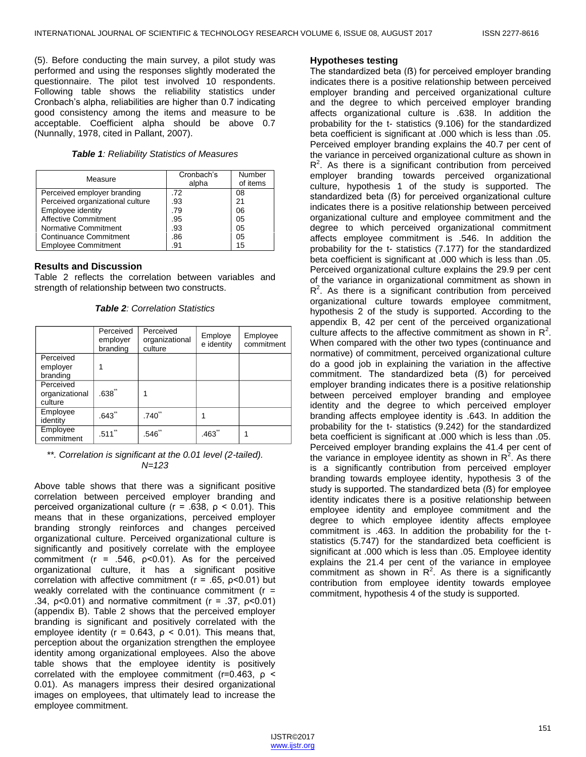(5). Before conducting the main survey, a pilot study was performed and using the responses slightly moderated the questionnaire. The pilot test involved 10 respondents. Following table shows the reliability statistics under Cronbach"s alpha, reliabilities are higher than 0.7 indicating good consistency among the items and measure to be acceptable. Coefficient alpha should be above 0.7 (Nunnally, 1978, cited in Pallant, 2007).

|  | <b>Table 1: Reliability Statistics of Measures</b> |  |
|--|----------------------------------------------------|--|
|--|----------------------------------------------------|--|

| Measure                          | Cronbach's<br>alpha | Number<br>of items |  |
|----------------------------------|---------------------|--------------------|--|
| Perceived employer branding      | .72                 | 08                 |  |
| Perceived organizational culture | .93                 | 21                 |  |
| Employee identity                | .79                 | 06                 |  |
| <b>Affective Commitment</b>      | .95                 | 05                 |  |
| Normative Commitment             | .93                 | 05                 |  |
| <b>Continuance Commitment</b>    | .86                 | 05                 |  |
| <b>Employee Commitment</b>       | .91                 | 15                 |  |

#### **Results and Discussion**

Table 2 reflects the correlation between variables and strength of relationship between two constructs.

*Table 2: Correlation Statistics*

|                                        | Perceived<br>employer<br>branding | Perceived<br>organizational<br>culture | Employe<br>e identity | Employee<br>commitment |
|----------------------------------------|-----------------------------------|----------------------------------------|-----------------------|------------------------|
| Perceived<br>employer<br>branding      |                                   |                                        |                       |                        |
| Perceived<br>organizational<br>culture | .638                              |                                        |                       |                        |
| Employee<br>identity                   | $.643$ <sup>*</sup>               | .740                                   |                       |                        |
| Employee<br>commitment                 | .511                              | .546                                   | .463                  |                        |

#### *\*\*. Correlation is significant at the 0.01 level (2-tailed). N=123*

Above table shows that there was a significant positive correlation between perceived employer branding and perceived organizational culture (r = .638, ρ < 0.01). This means that in these organizations, perceived employer branding strongly reinforces and changes perceived organizational culture. Perceived organizational culture is significantly and positively correlate with the employee commitment ( $r = .546$ ,  $p < 0.01$ ). As for the perceived organizational culture, it has a significant positive correlation with affective commitment (r = .65, ρ<0.01) but weakly correlated with the continuance commitment  $(r =$ .34,  $p<0.01$ ) and normative commitment ( $r = .37$ ,  $p<0.01$ ) (appendix B). Table 2 shows that the perceived employer branding is significant and positively correlated with the employee identity ( $r = 0.643$ ,  $\rho < 0.01$ ). This means that, perception about the organization strengthen the employee identity among organizational employees. Also the above table shows that the employee identity is positively correlated with the employee commitment (r=0.463, ρ < 0.01). As managers impress their desired organizational images on employees, that ultimately lead to increase the employee commitment.

#### **Hypotheses testing**

The standardized beta ( $\beta$ ) for perceived employer branding indicates there is a positive relationship between perceived employer branding and perceived organizational culture and the degree to which perceived employer branding affects organizational culture is .638. In addition the probability for the t- statistics (9.106) for the standardized beta coefficient is significant at .000 which is less than .05. Perceived employer branding explains the 40.7 per cent of the variance in perceived organizational culture as shown in  $R<sup>2</sup>$ . As there is a significant contribution from perceived employer branding towards perceived organizational culture, hypothesis 1 of the study is supported. The standardized beta ( $\beta$ ) for perceived organizational culture indicates there is a positive relationship between perceived organizational culture and employee commitment and the degree to which perceived organizational commitment affects employee commitment is .546. In addition the probability for the t- statistics (7.177) for the standardized beta coefficient is significant at .000 which is less than .05. Perceived organizational culture explains the 29.9 per cent of the variance in organizational commitment as shown in  $R<sup>2</sup>$ . As there is a significant contribution from perceived organizational culture towards employee commitment, hypothesis 2 of the study is supported. According to the appendix B, 42 per cent of the perceived organizational culture affects to the affective commitment as shown in  $R^2$ . When compared with the other two types (continuance and normative) of commitment, perceived organizational culture do a good job in explaining the variation in the affective commitment. The standardized beta (ẞ) for perceived employer branding indicates there is a positive relationship between perceived employer branding and employee identity and the degree to which perceived employer branding affects employee identity is .643. In addition the probability for the t- statistics (9.242) for the standardized beta coefficient is significant at .000 which is less than .05. Perceived employer branding explains the 41.4 per cent of the variance in employee identity as shown in  $R^2$ . As there is a significantly contribution from perceived employer branding towards employee identity, hypothesis 3 of the study is supported. The standardized beta (ß) for employee identity indicates there is a positive relationship between employee identity and employee commitment and the degree to which employee identity affects employee commitment is .463. In addition the probability for the tstatistics (5.747) for the standardized beta coefficient is significant at .000 which is less than .05. Employee identity explains the 21.4 per cent of the variance in employee commitment as shown in  $R^2$ . As there is a significantly contribution from employee identity towards employee commitment, hypothesis 4 of the study is supported.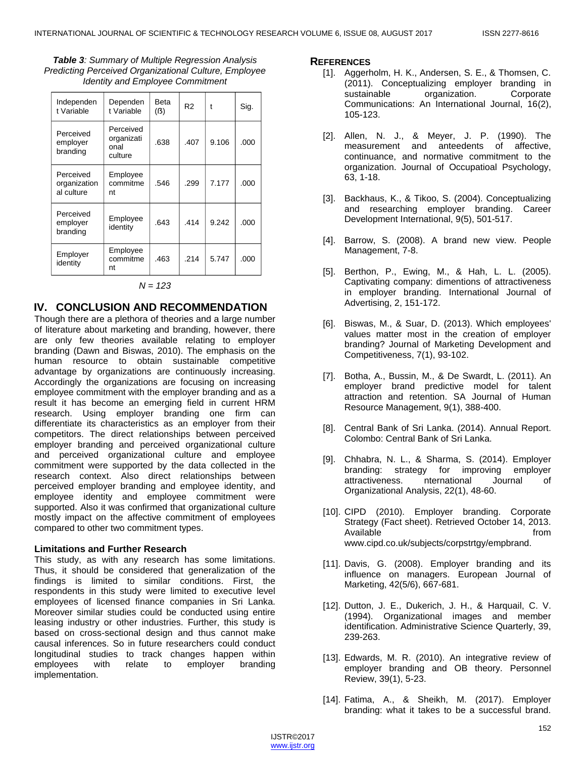*Table 3: Summary of Multiple Regression Analysis Predicting Perceived Organizational Culture, Employee Identity and Employee Commitment*

| Independen<br>t Variable                | Dependen<br>t Variable                     | <b>Beta</b><br>(3) | R <sub>2</sub> | t     | Sig. |
|-----------------------------------------|--------------------------------------------|--------------------|----------------|-------|------|
| Perceived<br>employer<br>branding       | Perceived<br>organizati<br>onal<br>culture | .638               | .407           | 9.106 | .000 |
| Perceived<br>organization<br>al culture | Employee<br>commitme<br>nt                 | .546               | .299           | 7.177 | .000 |
| Perceived<br>employer<br>branding       | Employee<br>identity                       | .643               | 414            | 9.242 | .000 |
| Employer<br>identity                    | Employee<br>commitme<br>nt                 | .463               | .214           | 5.747 | .000 |

#### *N = 123*

## **IV. CONCLUSION AND RECOMMENDATION**

Though there are a plethora of theories and a large number of literature about marketing and branding, however, there are only few theories available relating to employer branding (Dawn and Biswas, 2010). The emphasis on the human resource to obtain sustainable competitive advantage by organizations are continuously increasing. Accordingly the organizations are focusing on increasing employee commitment with the employer branding and as a result it has become an emerging field in current HRM research. Using employer branding one firm can differentiate its characteristics as an employer from their competitors. The direct relationships between perceived employer branding and perceived organizational culture and perceived organizational culture and employee commitment were supported by the data collected in the research context. Also direct relationships between perceived employer branding and employee identity, and employee identity and employee commitment were supported. Also it was confirmed that organizational culture mostly impact on the affective commitment of employees compared to other two commitment types.

#### **Limitations and Further Research**

This study, as with any research has some limitations. Thus, it should be considered that generalization of the findings is limited to similar conditions. First, the respondents in this study were limited to executive level employees of licensed finance companies in Sri Lanka. Moreover similar studies could be conducted using entire leasing industry or other industries. Further, this study is based on cross-sectional design and thus cannot make causal inferences. So in future researchers could conduct longitudinal studies to track changes happen within<br>employees with relate to employer branding employees with relate to employer implementation.

#### **REFERENCES**

- [1]. Aggerholm, H. K., Andersen, S. E., & Thomsen, C. (2011). Conceptualizing employer branding in sustainable organization. Corporate Communications: An International Journal, 16(2), 105-123.
- [2]. Allen, N. J., & Meyer, J. P. (1990). The measurement and anteedents of affective, continuance, and normative commitment to the organization. Journal of Occupatioal Psychology, 63, 1-18.
- [3]. Backhaus, K., & Tikoo, S. (2004). Conceptualizing and researching employer branding. Career Development International, 9(5), 501-517.
- [4]. Barrow, S. (2008). A brand new view. People Management, 7-8.
- [5]. Berthon, P., Ewing, M., & Hah, L. L. (2005). Captivating company: dimentions of attractiveness in employer branding. International Journal of Advertising, 2, 151-172.
- [6]. Biswas, M., & Suar, D. (2013). Which employees' values matter most in the creation of employer branding? Journal of Marketing Development and Competitiveness, 7(1), 93-102.
- [7]. Botha, A., Bussin, M., & De Swardt, L. (2011). An employer brand predictive model for talent attraction and retention. SA Journal of Human Resource Management, 9(1), 388-400.
- [8]. Central Bank of Sri Lanka. (2014). Annual Report. Colombo: Central Bank of Sri Lanka.
- [9]. Chhabra, N. L., & Sharma, S. (2014). Employer branding: strategy for improving employer attractiveness. nternational Journal of Organizational Analysis, 22(1), 48-60.
- [10]. CIPD (2010). Employer branding. Corporate Strategy (Fact sheet). Retrieved October 14, 2013. Available **from** www.cipd.co.uk/subjects/corpstrtgy/empbrand.
- [11]. Davis, G. (2008). Employer branding and its influence on managers. European Journal of Marketing, 42(5/6), 667-681.
- [12]. Dutton, J. E., Dukerich, J. H., & Harquail, C. V. (1994). Organizational images and member identification. Administrative Science Quarterly, 39, 239-263.
- [13]. Edwards, M. R. (2010). An integrative review of employer branding and OB theory. Personnel Review, 39(1), 5-23.
- [14]. Fatima, A., & Sheikh, M. (2017). Employer branding: what it takes to be a successful brand.